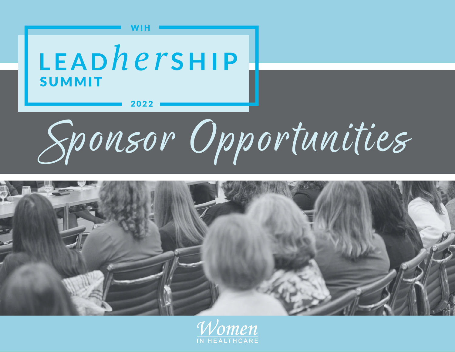



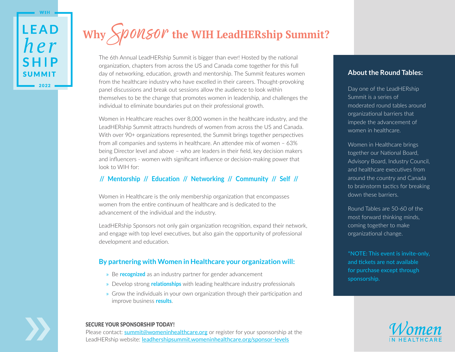**WIH** 

# Why Sponsor the WIH LeadHERship Summit?

The 6th Annual LeadHERship Summit is bigger than ever! Hosted by the national organization, chapters from across the US and Canada come together for this full day of networking, education, growth and mentorship. The Summit features women from the healthcare industry who have excelled in their careers. Thought-provoking panel discussions and break out sessions allow the audience to look within themselves to be the change that promotes women in leadership, and challenges the individual to eliminate boundaries put on their professional growth.

Women in Healthcare reaches over 8,000 women in the healthcare industry, and the LeadHERship Summit attracts hundreds of women from across the US and Canada. With over 90+ organizations represented, the Summit brings together perspectives from all companies and systems in healthcare. An attendee mix of women – 63% being Director level and above – who are leaders in their field, key decision makers and influencers - women with significant influence or decision-making power that look to WIH for:

# **// Mentorship // Education // Networking // Community // Self //**

Women in Healthcare is the only membership organization that encompasses women from the entire continuum of healthcare and is dedicated to the advancement of the individual and the industry.

LeadHERship Sponsors not only gain organization recognition, expand their network, and engage with top level executives, but also gain the opportunity of professional development and education.

## **By partnering with Women in Healthcare your organization will:**

- » Be **recognized** as an industry partner for gender advancement
- » Develop strong **relationships** with leading healthcare industry professionals
- » Grow the individuals in your own organization through their participation and improve business **results**.

#### SECURE YOUR SPONSORSHIP TODAY!

**Please contact: [summit@womeninhealthcare.org](mailto:summit%40womeninhealthcare.org?subject=)** or register for your sponsorship at the LeadHERship website: <u>[leadhershipsummit.womeninhealthcare.org/sponsor-levels](http://www.leadhershipsummit.womeninhealthcare.org/sponsor-levels)</u>

## **About the Round Tables:**

Day one of the LeadHERship Summit is a series of moderated round tables around organizational barriers that impede the advancement of women in healthcare.

Women in Healthcare brings together our National Board, Advisory Board, Industry Council, and healthcare executives from around the country and Canada to brainstorm tactics for breaking down these barriers.

Round Tables are 50-60 of the most forward thinking minds, coming together to make organizational change.

**\*NOTE: This event is invite-only, and tickets are not available for purchase except through sponsorship.**

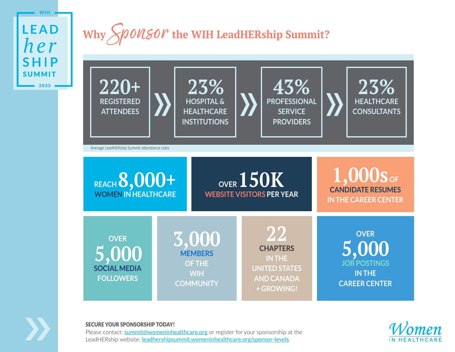

# Why Sponsor the WIH LeadHERship Summit?





#### SECURE YOUR SPONSORSHIP TODAY!

**Please contact: [summit@womeninhealthcare.org](mailto:summit%40womeninhealthcare.org?subject=)** or register for your sponsorship at the LeadHERship website: <u>[leadhershipsummit.womeninhealthcare.org/sponsor-levels](http://www.leadhershipsummit.womeninhealthcare.org/sponsor-levels)</u>